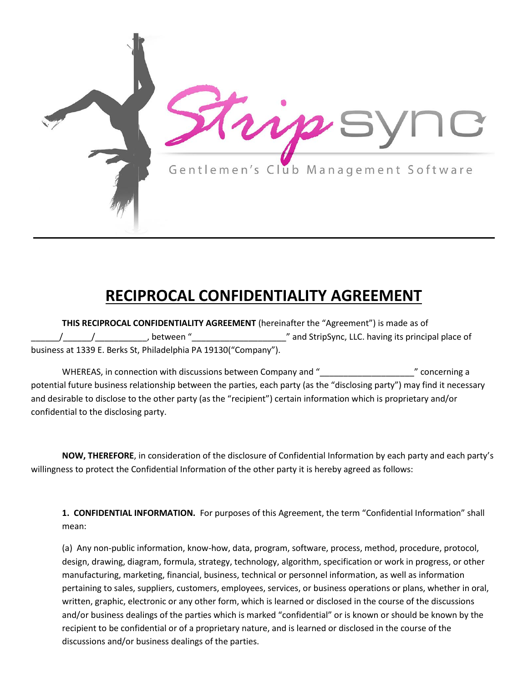

## **RECIPROCAL CONFIDENTIALITY AGREEMENT**

**THIS RECIPROCAL CONFIDENTIALITY AGREEMENT** (hereinafter the "Agreement") is made as of \_\_\_\_\_\_/\_\_\_\_\_\_/\_\_\_\_\_\_\_\_\_\_\_, between "\_\_\_\_\_\_\_\_\_\_\_\_\_\_\_\_\_\_\_\_" and StripSync, LLC. having its principal place of business at 1339 E. Berks St, Philadelphia PA 19130("Company").

WHEREAS, in connection with discussions between Company and " \_\_\_\_\_\_\_\_\_\_\_\_\_\_\_\_\_\_\_ " concerning a potential future business relationship between the parties, each party (as the "disclosing party") may find it necessary and desirable to disclose to the other party (as the "recipient") certain information which is proprietary and/or confidential to the disclosing party.

**NOW, THEREFORE**, in consideration of the disclosure of Confidential Information by each party and each party's willingness to protect the Confidential Information of the other party it is hereby agreed as follows:

**1. CONFIDENTIAL INFORMATION.** For purposes of this Agreement, the term "Confidential Information" shall mean:

(a) Any non-public information, know-how, data, program, software, process, method, procedure, protocol, design, drawing, diagram, formula, strategy, technology, algorithm, specification or work in progress, or other manufacturing, marketing, financial, business, technical or personnel information, as well as information pertaining to sales, suppliers, customers, employees, services, or business operations or plans, whether in oral, written, graphic, electronic or any other form, which is learned or disclosed in the course of the discussions and/or business dealings of the parties which is marked "confidential" or is known or should be known by the recipient to be confidential or of a proprietary nature, and is learned or disclosed in the course of the discussions and/or business dealings of the parties.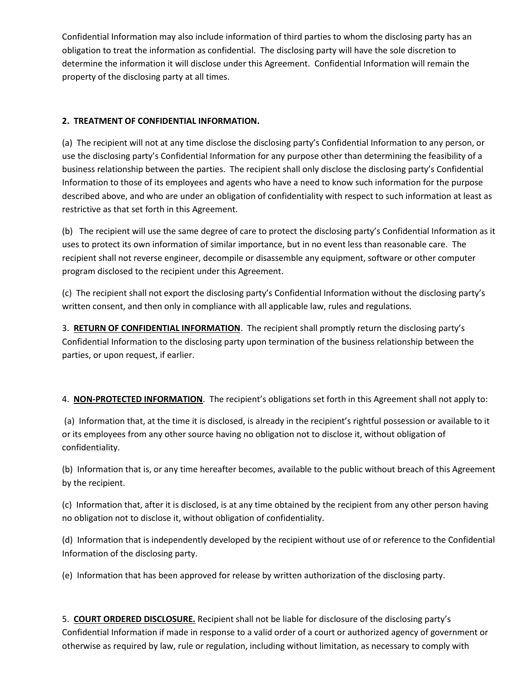Confidential Information may also include information of third parties to whom the disclosing party has an obligation to treat the information as confidential. The disclosing party will have the sole discretion to determine the information it will disclose under this Agreement. Confidential Information will remain the property of the disclosing party at all times.

## **2. TREATMENT OF CONFIDENTIAL INFORMATION.**

(a) The recipient will not at any time disclose the disclosing party's Confidential Information to any person, or use the disclosing party's Confidential Information for any purpose other than determining the feasibility of a business relationship between the parties. The recipient shall only disclose the disclosing party's Confidential Information to those of its employees and agents who have a need to know such information for the purpose described above, and who are under an obligation of confidentiality with respect to such information at least as restrictive as that set forth in this Agreement.

(b) The recipient will use the same degree of care to protect the disclosing party's Confidential Information as it uses to protect its own information of similar importance, but in no event less than reasonable care. The recipient shall not reverse engineer, decompile or disassemble any equipment, software or other computer program disclosed to the recipient under this Agreement.

(c) The recipient shall not export the disclosing party's Confidential Information without the disclosing party's written consent, and then only in compliance with all applicable law, rules and regulations.

3. **RETURN OF CONFIDENTIAL INFORMATION**. The recipient shall promptly return the disclosing party's Confidential Information to the disclosing party upon termination of the business relationship between the parties, or upon request, if earlier.

4. **NON-PROTECTED INFORMATION**. The recipient's obligations set forth in this Agreement shall not apply to:

(a) Information that, at the time it is disclosed, is already in the recipient's rightful possession or available to it or its employees from any other source having no obligation not to disclose it, without obligation of confidentiality.

(b) Information that is, or any time hereafter becomes, available to the public without breach of this Agreement by the recipient.

(c) Information that, after it is disclosed, is at any time obtained by the recipient from any other person having no obligation not to disclose it, without obligation of confidentiality.

(d) Information that is independently developed by the recipient without use of or reference to the Confidential Information of the disclosing party.

(e) Information that has been approved for release by written authorization of the disclosing party.

5. **COURT ORDERED DISCLOSURE.** Recipient shall not be liable for disclosure of the disclosing party's Confidential Information if made in response to a valid order of a court or authorized agency of government or otherwise as required by law, rule or regulation, including without limitation, as necessary to comply with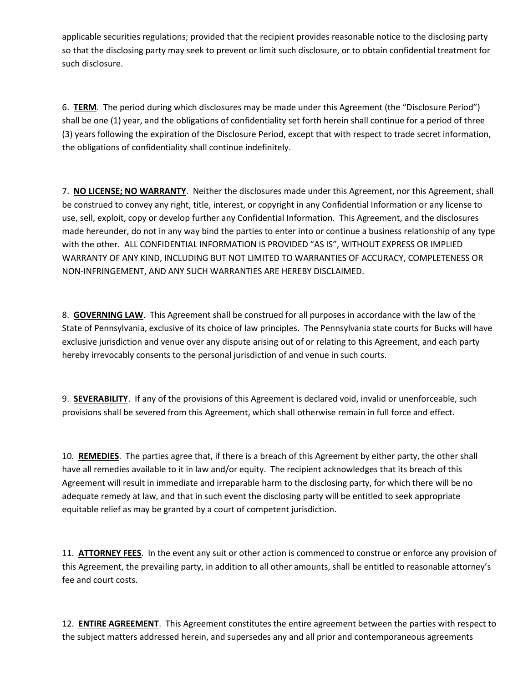applicable securities regulations; provided that the recipient provides reasonable notice to the disclosing party so that the disclosing party may seek to prevent or limit such disclosure, or to obtain confidential treatment for such disclosure.

6. **TERM**. The period during which disclosures may be made under this Agreement (the "Disclosure Period") shall be one (1) year, and the obligations of confidentiality set forth herein shall continue for a period of three (3) years following the expiration of the Disclosure Period, except that with respect to trade secret information, the obligations of confidentiality shall continue indefinitely.

7. **NO LICENSE; NO WARRANTY**. Neither the disclosures made under this Agreement, nor this Agreement, shall be construed to convey any right, title, interest, or copyright in any Confidential Information or any license to use, sell, exploit, copy or develop further any Confidential Information. This Agreement, and the disclosures made hereunder, do not in any way bind the parties to enter into or continue a business relationship of any type with the other. ALL CONFIDENTIAL INFORMATION IS PROVIDED "AS IS", WITHOUT EXPRESS OR IMPLIED WARRANTY OF ANY KIND, INCLUDING BUT NOT LIMITED TO WARRANTIES OF ACCURACY, COMPLETENESS OR NON-INFRINGEMENT, AND ANY SUCH WARRANTIES ARE HEREBY DISCLAIMED.

8. **GOVERNING LAW**. This Agreement shall be construed for all purposes in accordance with the law of the State of Pennsylvania, exclusive of its choice of law principles. The Pennsylvania state courts for Bucks will have exclusive jurisdiction and venue over any dispute arising out of or relating to this Agreement, and each party hereby irrevocably consents to the personal jurisdiction of and venue in such courts.

9. **SEVERABILITY**. If any of the provisions of this Agreement is declared void, invalid or unenforceable, such provisions shall be severed from this Agreement, which shall otherwise remain in full force and effect.

10. **REMEDIES**. The parties agree that, if there is a breach of this Agreement by either party, the other shall have all remedies available to it in law and/or equity. The recipient acknowledges that its breach of this Agreement will result in immediate and irreparable harm to the disclosing party, for which there will be no adequate remedy at law, and that in such event the disclosing party will be entitled to seek appropriate equitable relief as may be granted by a court of competent jurisdiction.

11. **ATTORNEY FEES**. In the event any suit or other action is commenced to construe or enforce any provision of this Agreement, the prevailing party, in addition to all other amounts, shall be entitled to reasonable attorney's fee and court costs.

12. **ENTIRE AGREEMENT**. This Agreement constitutes the entire agreement between the parties with respect to the subject matters addressed herein, and supersedes any and all prior and contemporaneous agreements